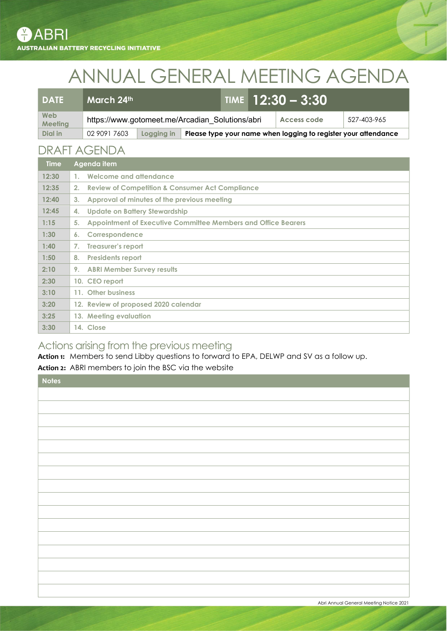# ANNUAL GENERAL MEETING AGENDA

| DATE                  | March 24th                                      |            |  |  | <b>TIME</b> $12:30 - 3:30$ |                                                                |             |
|-----------------------|-------------------------------------------------|------------|--|--|----------------------------|----------------------------------------------------------------|-------------|
| Web<br><b>Meeting</b> | https://www.gotomeet.me/Arcadian Solutions/abri |            |  |  |                            | Access code                                                    | 527-403-965 |
| Dial in               | 02 9091 7603                                    | Logging in |  |  |                            | Please type your name when logging to register your attendance |             |

## DRAFT AGENDA

| <b>Time</b> | Agenda item                                                         |
|-------------|---------------------------------------------------------------------|
| 12:30       | Welcome and attendance<br>1 <sub>1</sub>                            |
| 12:35       | <b>Review of Competition &amp; Consumer Act Compliance</b><br>2.    |
| 12:40       | Approval of minutes of the previous meeting<br>3 <sub>1</sub>       |
| 12:45       | Update on Battery Stewardship<br>4.                                 |
| 1:15        | Appointment of Executive Committee Members and Office Bearers<br>5. |
| 1:30        | Correspondence<br>6.                                                |
| 1:40        | Treasurer's report<br>7.                                            |
| 1:50        | <b>Presidents report</b><br>8.                                      |
| 2:10        | <b>ABRI Member Survey results</b><br>9.                             |
| 2:30        | 10. CEO report                                                      |
| 3:10        | 11. Other business                                                  |
| 3:20        | 12. Review of proposed 2020 calendar                                |
| 3:25        | 13. Meeting evaluation                                              |
| 3:30        | 14. Close                                                           |

## Actions arising from the previous meeting

Action 1: Members to send Libby questions to forward to EPA, DELWP and SV as a follow up.

Action 2: ABRI members to join the BSC via the website

| Notes |
|-------|
|       |
|       |
|       |
|       |
|       |
|       |
|       |
|       |
|       |
|       |
|       |
|       |
|       |
|       |
|       |
|       |